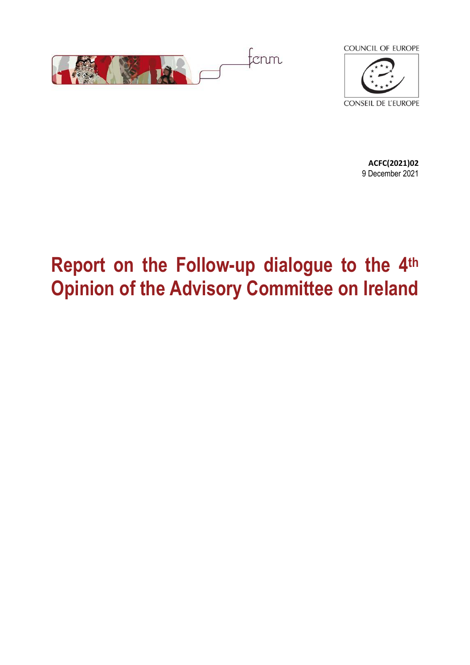



**ACFC(2021)02** 9 December 2021

# **Report on the Follow-up dialogue to the 4th Opinion of the Advisory Committee on Ireland**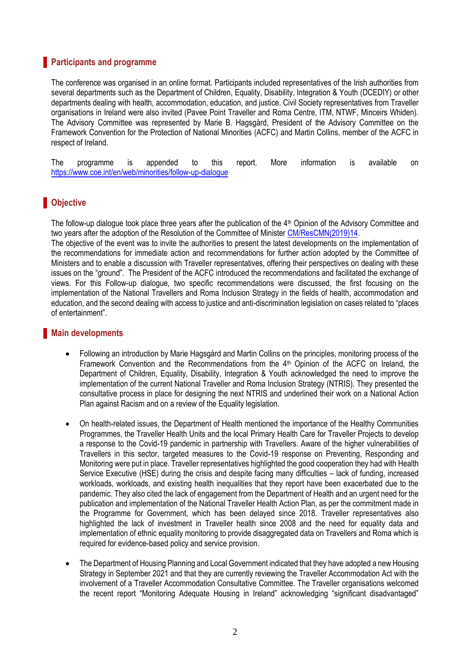## **Participants and programme**

The conference was organised in an online format. Participants included representatives of the Irish authorities from several departments such as the Department of Children, Equality, Disability, Integration & Youth (DCEDIY) or other departments dealing with health, accommodation, education, and justice. Civil Society representatives from Traveller organisations in Ireland were also invited (Pavee Point Traveller and Roma Centre, ITM, NTWF, Minceirs Whiden). The Advisory Committee was represented by Marie B. Hagsgård, President of the Advisory Committee on the Framework Convention for the Protection of National Minorities (ACFC) and Martin Collins, member of the ACFC in respect of Ireland.

The programme is appended to this report. More information is available on <https://www.coe.int/en/web/minorities/follow-up-dialogue>

## **Objective**

The follow-up dialogue took place three years after the publication of the 4<sup>th</sup> Opinion of the Advisory Committee and two years after the adoption of the Resolution of the Committee of Minister [CM/ResCMN\(2019\)14.](https://search.coe.int/cm/pages/result_details.aspx?objectid=0900001680984219)

The objective of the event was to invite the authorities to present the latest developments on the implementation of the recommendations for immediate action and recommendations for further action adopted by the Committee of Ministers and to enable a discussion with Traveller representatives, offering their perspectives on dealing with these issues on the "ground". The President of the ACFC introduced the recommendations and facilitated the exchange of views. For this Follow-up dialogue, two specific recommendations were discussed, the first focusing on the implementation of the National Travellers and Roma Inclusion Strategy in the fields of health, accommodation and education, and the second dealing with access to justice and anti-discrimination legislation on cases related to "places of entertainment".

### **Main developments**

- Following an introduction by Marie Hagsgård and Martin Collins on the principles, monitoring process of the Framework Convention and the Recommendations from the 4<sup>th</sup> Opinion of the ACFC on Ireland, the Department of Children, Equality, Disability, Integration & Youth acknowledged the need to improve the implementation of the current National Traveller and Roma Inclusion Strategy (NTRIS). They presented the consultative process in place for designing the next NTRIS and underlined their work on a National Action Plan against Racism and on a review of the Equality legislation.
- On health-related issues, the Department of Health mentioned the importance of the Healthy Communities Programmes, the Traveller Health Units and the local Primary Health Care for Traveller Projects to develop a response to the Covid-19 pandemic in partnership with Travellers. Aware of the higher vulnerabilities of Travellers in this sector, targeted measures to the Covid-19 response on Preventing, Responding and Monitoring were put in place. Traveller representatives highlighted the good cooperation they had with Health Service Executive (HSE) during the crisis and despite facing many difficulties – lack of funding, increased workloads, workloads, and existing health inequalities that they report have been exacerbated due to the pandemic. They also cited the lack of engagement from the Department of Health and an urgent need for the publication and implementation of the National Traveller Health Action Plan, as per the commitment made in the Programme for Government, which has been delayed since 2018. Traveller representatives also highlighted the lack of investment in Traveller health since 2008 and the need for equality data and implementation of ethnic equality monitoring to provide disaggregated data on Travellers and Roma which is required for evidence-based policy and service provision.
- The Department of Housing Planning and Local Government indicated that they have adopted a new Housing Strategy in September 2021 and that they are currently reviewing the Traveller Accommodation Act with the involvement of a Traveller Accommodation Consultative Committee. The Traveller organisations welcomed the recent report "Monitoring Adequate Housing in Ireland" acknowledging "significant disadvantaged"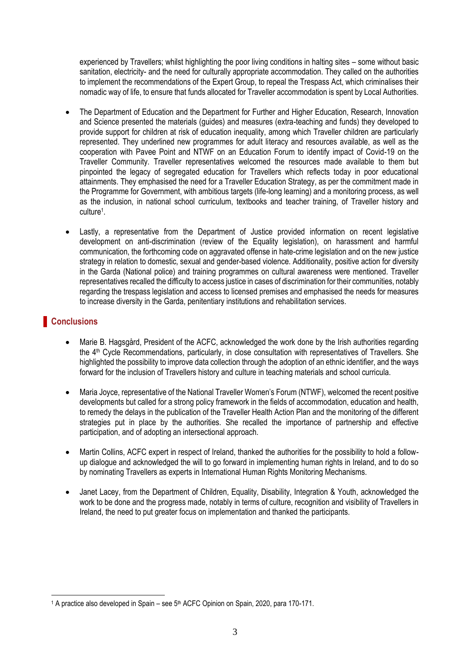experienced by Travellers; whilst highlighting the poor living conditions in halting sites – some without basic sanitation, electricity- and the need for culturally appropriate accommodation. They called on the authorities to implement the recommendations of the Expert Group, to repeal the Trespass Act, which criminalises their nomadic way of life, to ensure that funds allocated for Traveller accommodation is spent by Local Authorities.

- The Department of Education and the Department for Further and Higher Education, Research, Innovation and Science presented the materials (guides) and measures (extra-teaching and funds) they developed to provide support for children at risk of education inequality, among which Traveller children are particularly represented. They underlined new programmes for adult literacy and resources available, as well as the cooperation with Pavee Point and NTWF on an Education Forum to identify impact of Covid-19 on the Traveller Community. Traveller representatives welcomed the resources made available to them but pinpointed the legacy of segregated education for Travellers which reflects today in poor educational attainments. They emphasised the need for a Traveller Education Strategy, as per the commitment made in the Programme for Government, with ambitious targets (life-long learning) and a monitoring process, as well as the inclusion, in national school curriculum, textbooks and teacher training, of Traveller history and culture<sup>1</sup> .
- Lastly, a representative from the Department of Justice provided information on recent legislative development on anti-discrimination (review of the Equality legislation), on harassment and harmful communication, the forthcoming code on aggravated offense in hate-crime legislation and on the new justice strategy in relation to domestic, sexual and gender-based violence. Additionality, positive action for diversity in the Garda (National police) and training programmes on cultural awareness were mentioned. Traveller representatives recalled the difficulty to access justice in cases of discrimination for their communities, notably regarding the trespass legislation and access to licensed premises and emphasised the needs for measures to increase diversity in the Garda, penitentiary institutions and rehabilitation services.

# **Conclusions**

- Marie B. Hagsgård, President of the ACFC, acknowledged the work done by the Irish authorities regarding the 4th Cycle Recommendations, particularly, in close consultation with representatives of Travellers. She highlighted the possibility to improve data collection through the adoption of an ethnic identifier, and the ways forward for the inclusion of Travellers history and culture in teaching materials and school curricula.
- Maria Joyce, representative of the National Traveller Women's Forum (NTWF), welcomed the recent positive developments but called for a strong policy framework in the fields of accommodation, education and health, to remedy the delays in the publication of the Traveller Health Action Plan and the monitoring of the different strategies put in place by the authorities. She recalled the importance of partnership and effective participation, and of adopting an intersectional approach.
- Martin Collins, ACFC expert in respect of Ireland, thanked the authorities for the possibility to hold a followup dialogue and acknowledged the will to go forward in implementing human rights in Ireland, and to do so by nominating Travellers as experts in International Human Rights Monitoring Mechanisms.
- Janet Lacey, from the Department of Children, Equality, Disability, Integration & Youth, acknowledged the work to be done and the progress made, notably in terms of culture, recognition and visibility of Travellers in Ireland, the need to put greater focus on implementation and thanked the participants.

 $\overline{a}$ <sup>1</sup> A practice also developed in Spain – see 5<sup>th</sup> ACFC Opinion on Spain, 2020, para 170-171.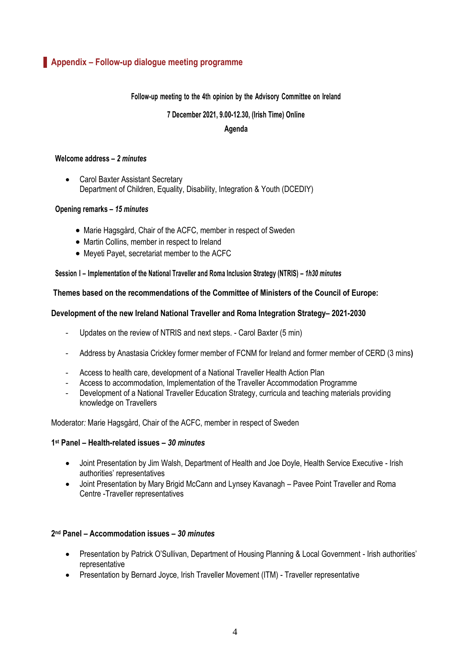## **Appendix – Follow-up dialogue meeting programme**

#### **Follow-up meeting to the 4th opinion by the Advisory Committee on Ireland**

#### **7 December 2021, 9.00-12.30, (Irish Time) Online**

#### **Agenda**

#### **Welcome address –** *2 minutes*

• Carol Baxter Assistant Secretary Department of Children, Equality, Disability, Integration & Youth (DCEDIY)

#### **Opening remarks –** *15 minutes*

- Marie Hagsgård, Chair of the ACFC, member in respect of Sweden
- Martin Collins, member in respect to Ireland
- Meyeti Payet, secretariat member to the ACFC

#### **Session I – Implementation of the National Traveller and Roma Inclusion Strategy (NTRIS) –** *1h30 minutes*

#### **Themes based on the recommendations of the Committee of Ministers of the Council of Europe:**

#### **Development of the new Ireland National Traveller and Roma Integration Strategy– 2021-2030**

- Updates on the review of NTRIS and next steps. Carol Baxter (5 min)
- Address by Anastasia Crickley former member of FCNM for Ireland and former member of CERD (3 mins**)**
- Access to health care, development of a National Traveller Health Action Plan
- Access to accommodation, Implementation of the Traveller Accommodation Programme
- Development of a National Traveller Education Strategy, curricula and teaching materials providing knowledge on Travellers

#### Moderator*:* Marie Hagsgård, Chair of the ACFC, member in respect of Sweden

#### **1 st Panel – Health-related issues –** *30 minutes*

- Joint Presentation by Jim Walsh, Department of Health and Joe Doyle, Health Service Executive Irish authorities' representatives
- Joint Presentation by Mary Brigid McCann and Lynsey Kavanagh Pavee Point Traveller and Roma Centre -Traveller representatives

#### **2 nd Panel – Accommodation issues –** *30 minutes*

- Presentation by Patrick O'Sullivan, Department of Housing Planning & Local Government Irish authorities' representative
- Presentation by Bernard Joyce, Irish Traveller Movement (ITM) Traveller representative